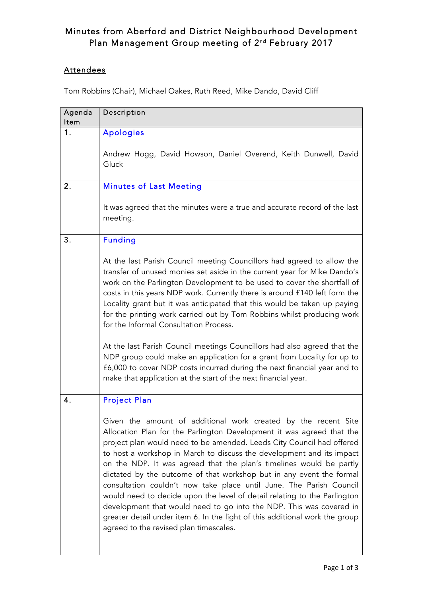## Minutes from Aberford and District Neighbourhood Development Plan Management Group meeting of 2<sup>nd</sup> February 2017

## **Attendees**

Tom Robbins (Chair), Michael Oakes, Ruth Reed, Mike Dando, David Cliff

| Agenda<br>ltem | Description                                                                                                                                                                                                                                                                                                                                                                                                                                                                                                                                                                                                                                                                                                                                                                                 |
|----------------|---------------------------------------------------------------------------------------------------------------------------------------------------------------------------------------------------------------------------------------------------------------------------------------------------------------------------------------------------------------------------------------------------------------------------------------------------------------------------------------------------------------------------------------------------------------------------------------------------------------------------------------------------------------------------------------------------------------------------------------------------------------------------------------------|
| 1.             | <b>Apologies</b>                                                                                                                                                                                                                                                                                                                                                                                                                                                                                                                                                                                                                                                                                                                                                                            |
|                | Andrew Hogg, David Howson, Daniel Overend, Keith Dunwell, David<br>Gluck                                                                                                                                                                                                                                                                                                                                                                                                                                                                                                                                                                                                                                                                                                                    |
| 2.             | <b>Minutes of Last Meeting</b>                                                                                                                                                                                                                                                                                                                                                                                                                                                                                                                                                                                                                                                                                                                                                              |
|                | It was agreed that the minutes were a true and accurate record of the last<br>meeting.                                                                                                                                                                                                                                                                                                                                                                                                                                                                                                                                                                                                                                                                                                      |
| 3.             | <b>Funding</b>                                                                                                                                                                                                                                                                                                                                                                                                                                                                                                                                                                                                                                                                                                                                                                              |
|                | At the last Parish Council meeting Councillors had agreed to allow the<br>transfer of unused monies set aside in the current year for Mike Dando's<br>work on the Parlington Development to be used to cover the shortfall of<br>costs in this years NDP work. Currently there is around £140 left form the<br>Locality grant but it was anticipated that this would be taken up paying<br>for the printing work carried out by Tom Robbins whilst producing work<br>for the Informal Consultation Process.                                                                                                                                                                                                                                                                                 |
|                | At the last Parish Council meetings Councillors had also agreed that the<br>NDP group could make an application for a grant from Locality for up to<br>£6,000 to cover NDP costs incurred during the next financial year and to<br>make that application at the start of the next financial year.                                                                                                                                                                                                                                                                                                                                                                                                                                                                                           |
| 4.             | <b>Project Plan</b>                                                                                                                                                                                                                                                                                                                                                                                                                                                                                                                                                                                                                                                                                                                                                                         |
|                | Given the amount of additional work created by the recent Site<br>Allocation Plan for the Parlington Development it was agreed that the<br>project plan would need to be amended. Leeds City Council had offered<br>to host a workshop in March to discuss the development and its impact<br>on the NDP. It was agreed that the plan's timelines would be partly<br>dictated by the outcome of that workshop but in any event the formal<br>consultation couldn't now take place until June. The Parish Council<br>would need to decide upon the level of detail relating to the Parlington<br>development that would need to go into the NDP. This was covered in<br>greater detail under item 6. In the light of this additional work the group<br>agreed to the revised plan timescales. |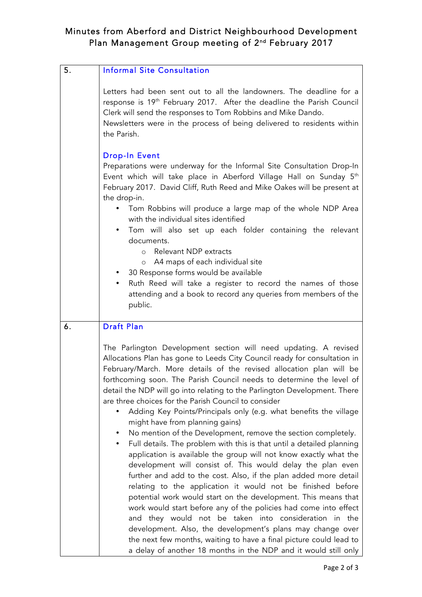## Minutes from Aberford and District Neighbourhood Development Plan Management Group meeting of 2<sup>nd</sup> February 2017

| 5. | <b>Informal Site Consultation</b>                                                                                                                                                                                                                                                                                                                                                                                                                                                                                                                                                                                                                                                                                                                                                                                                                                                                                                                                                                                                                                                                                                                                                                                                                                                                                                                                |
|----|------------------------------------------------------------------------------------------------------------------------------------------------------------------------------------------------------------------------------------------------------------------------------------------------------------------------------------------------------------------------------------------------------------------------------------------------------------------------------------------------------------------------------------------------------------------------------------------------------------------------------------------------------------------------------------------------------------------------------------------------------------------------------------------------------------------------------------------------------------------------------------------------------------------------------------------------------------------------------------------------------------------------------------------------------------------------------------------------------------------------------------------------------------------------------------------------------------------------------------------------------------------------------------------------------------------------------------------------------------------|
|    | Letters had been sent out to all the landowners. The deadline for a<br>response is 19th February 2017. After the deadline the Parish Council<br>Clerk will send the responses to Tom Robbins and Mike Dando.<br>Newsletters were in the process of being delivered to residents within<br>the Parish.                                                                                                                                                                                                                                                                                                                                                                                                                                                                                                                                                                                                                                                                                                                                                                                                                                                                                                                                                                                                                                                            |
|    | <b>Drop-In Event</b><br>Preparations were underway for the Informal Site Consultation Drop-In<br>Event which will take place in Aberford Village Hall on Sunday 5 <sup>th</sup><br>February 2017. David Cliff, Ruth Reed and Mike Oakes will be present at<br>the drop-in.<br>Tom Robbins will produce a large map of the whole NDP Area<br>with the individual sites identified<br>Tom will also set up each folder containing the relevant<br>documents.<br>Relevant NDP extracts<br>$\circ$<br>o A4 maps of each individual site<br>30 Response forms would be available<br>Ruth Reed will take a register to record the names of those<br>$\bullet$<br>attending and a book to record any queries from members of the<br>public.                                                                                                                                                                                                                                                                                                                                                                                                                                                                                                                                                                                                                             |
| 6. | <b>Draft Plan</b>                                                                                                                                                                                                                                                                                                                                                                                                                                                                                                                                                                                                                                                                                                                                                                                                                                                                                                                                                                                                                                                                                                                                                                                                                                                                                                                                                |
|    | The Parlington Development section will need updating. A revised<br>Allocations Plan has gone to Leeds City Council ready for consultation in<br>February/March. More details of the revised allocation plan will be<br>forthcoming soon. The Parish Council needs to determine the level of<br>detail the NDP will go into relating to the Parlington Development. There<br>are three choices for the Parish Council to consider<br>Adding Key Points/Principals only (e.g. what benefits the village<br>might have from planning gains)<br>No mention of the Development, remove the section completely.<br>Full details. The problem with this is that until a detailed planning<br>application is available the group will not know exactly what the<br>development will consist of. This would delay the plan even<br>further and add to the cost. Also, if the plan added more detail<br>relating to the application it would not be finished before<br>potential work would start on the development. This means that<br>work would start before any of the policies had come into effect<br>and they would not be taken into consideration in the<br>development. Also, the development's plans may change over<br>the next few months, waiting to have a final picture could lead to<br>a delay of another 18 months in the NDP and it would still only |